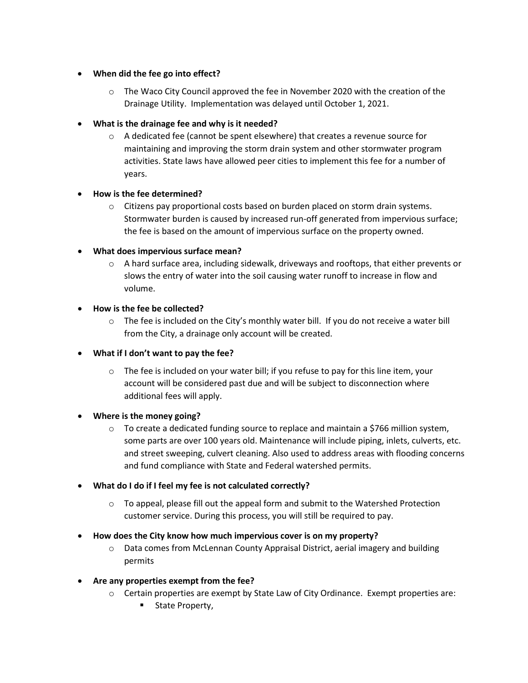## • **When did the fee go into effect?**

 $\circ$  The Waco City Council approved the fee in November 2020 with the creation of the Drainage Utility. Implementation was delayed until October 1, 2021.

# • **What is the drainage fee and why is it needed?**

 $\circ$  A dedicated fee (cannot be spent elsewhere) that creates a revenue source for maintaining and improving the storm drain system and other stormwater program activities. State laws have allowed peer cities to implement this fee for a number of years.

## • **How is the fee determined?**

 $\circ$  Citizens pay proportional costs based on burden placed on storm drain systems. Stormwater burden is caused by increased run-off generated from impervious surface; the fee is based on the amount of impervious surface on the property owned.

## • **What does impervious surface mean?**

 $\circ$  A hard surface area, including sidewalk, driveways and rooftops, that either prevents or slows the entry of water into the soil causing water runoff to increase in flow and volume.

## • **How is the fee be collected?**

 $\circ$  The fee is included on the City's monthly water bill. If you do not receive a water bill from the City, a drainage only account will be created.

### • **What if I don't want to pay the fee?**

 $\circ$  The fee is included on your water bill; if you refuse to pay for this line item, your account will be considered past due and will be subject to disconnection where additional fees will apply.

### • **Where is the money going?**

 $\circ$  To create a dedicated funding source to replace and maintain a \$766 million system, some parts are over 100 years old. Maintenance will include piping, inlets, culverts, etc. and street sweeping, culvert cleaning. Also used to address areas with flooding concerns and fund compliance with State and Federal watershed permits.

### • **What do I do if I feel my fee is not calculated correctly?**

 $\circ$  To appeal, please fill out the appeal form and submit to the Watershed Protection customer service. During this process, you will still be required to pay.

### • **How does the City know how much impervious cover is on my property?**

- $\circ$  Data comes from McLennan County Appraisal District, aerial imagery and building permits
- **Are any properties exempt from the fee?**
	- o Certain properties are exempt by State Law of City Ordinance. Exempt properties are:
		- **State Property,**